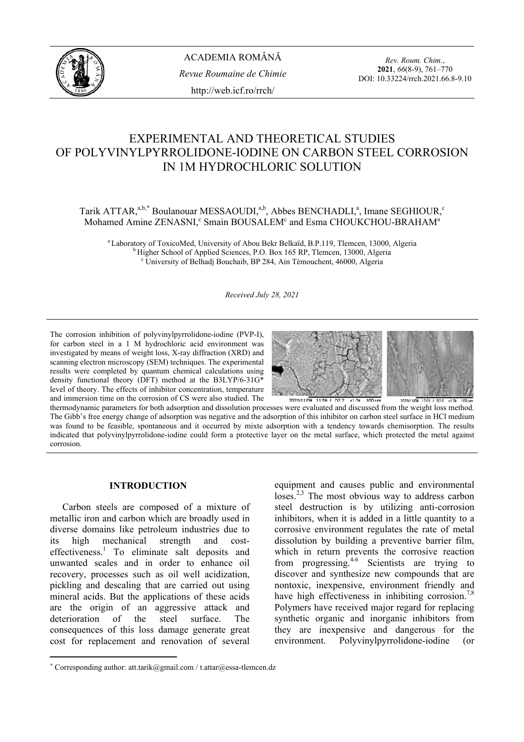

*Rev. Roum. Chim.*, **2021**, *66*(8-9), 761–770 DOI: 10.33224/rrch.2021.66.8-9.10

# EXPERIMENTAL AND THEORETICAL STUDIES OF POLYVINYLPYRROLIDONE-IODINE ON CARBON STEEL CORROSION IN 1M HYDROCHLORIC SOLUTION

## Tarik ATTAR,  $a,b,*$  Boulanouar MESSAOUDI, $a,b}$ , Abbes BENCHADLI, $a$ , Imane SEGHIOUR, $c$ Mohamed Amine ZENASNI,<sup>c</sup> Smain BOUSALEM<sup>c</sup> and Esma CHOUKCHOU-BRAHAM<sup>a</sup>

<sup>a</sup> Laboratory of ToxicoMed, University of Abou Bekr Belkaïd, B.P.119, Tlemcen, 13000, Algeria b Higher School of Applied Sciences, P.O. Box 165 RP, Tlemcen, 13000, Algeria University of Belhadj Bouchaib, BP 284, Ain Témouchent, 46000, Algeria

#### *Received July 28, 2021*

The corrosion inhibition of polyvinylpyrrolidone-iodine (PVP-I), for carbon steel in a 1 M hydrochloric acid environment was investigated by means of weight loss, X-ray diffraction (XRD) and scanning electron microscopy (SEM) techniques. The experimental results were completed by quantum chemical calculations using density functional theory (DFT) method at the B3LYP/6-31G\* level of theory. The effects of inhibitor concentration, temperature and immersion time on the corrosion of CS were also studied. The



thermodynamic parameters for both adsorption and dissolution processes were evaluated and discussed from the weight loss method. The Gibb's free energy change of adsorption was negative and the adsorption of this inhibitor on carbon steel surface in HCl medium was found to be feasible, spontaneous and it occurred by mixte adsorption with a tendency towards chemisorption. The results indicated that polyvinylpyrrolidone-iodine could form a protective layer on the metal surface, which protected the metal against corrosion.

#### **INTRODUCTION**<sup>∗</sup>

 Carbon steels are composed of a mixture of metallic iron and carbon which are broadly used in diverse domains like petroleum industries due to its high mechanical strength and costeffectiveness.<sup>1</sup> To eliminate salt deposits and unwanted scales and in order to enhance oil recovery, processes such as oil well acidization, pickling and descaling that are carried out using mineral acids. But the applications of these acids are the origin of an aggressive attack and deterioration of the steel surface. The consequences of this loss damage generate great cost for replacement and renovation of several

equipment and causes public and environmental loses.<sup>2,3</sup> The most obvious way to address carbon steel destruction is by utilizing anti-corrosion inhibitors, when it is added in a little quantity to a corrosive environment regulates the rate of metal dissolution by building a preventive barrier film, which in return prevents the corrosive reaction from progressing.4-6 Scientists are trying to discover and synthesize new compounds that are nontoxic, inexpensive, environment friendly and have high effectiveness in inhibiting corrosion.<sup>7,8</sup> Polymers have received major regard for replacing synthetic organic and inorganic inhibitors from they are inexpensive and dangerous for the environment. Polyvinylpyrrolidone-iodine (or

<sup>∗</sup> Corresponding author: att.tarik@gmail.com / t.attar@essa-tlemcen.dz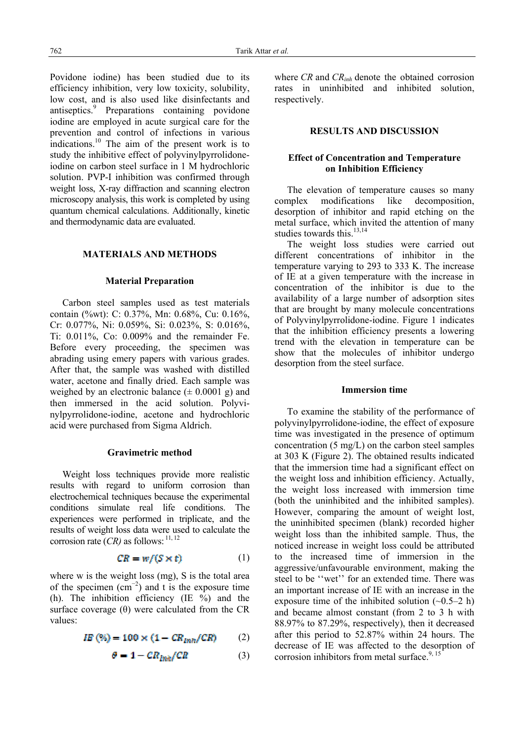Povidone iodine) has been studied due to its efficiency inhibition, very low toxicity, solubility, low cost, and is also used like disinfectants and antiseptics.<sup>9</sup> Preparations containing povidone iodine are employed in acute surgical care for the prevention and control of infections in various indications.10 The aim of the present work is to study the inhibitive effect of polyvinylpyrrolidoneiodine on carbon steel surface in 1 M hydrochloric solution. PVP-I inhibition was confirmed through weight loss, X-ray diffraction and scanning electron microscopy analysis, this work is completed by using quantum chemical calculations. Additionally, kinetic and thermodynamic data are evaluated.

## **MATERIALS AND METHODS**

#### **Material Preparation**

 Carbon steel samples used as test materials contain (%wt): C: 0.37%, Mn: 0.68%, Cu: 0.16%, Cr: 0.077%, Ni: 0.059%, Si: 0.023%, S: 0.016%, Ti: 0.011%, Co: 0.009% and the remainder Fe. Before every proceeding, the specimen was abrading using emery papers with various grades. After that, the sample was washed with distilled water, acetone and finally dried. Each sample was weighed by an electronic balance  $(\pm 0.0001 \text{ g})$  and then immersed in the acid solution. Polyvinylpyrrolidone-iodine, acetone and hydrochloric acid were purchased from Sigma Aldrich.

#### **Gravimetric method**

 Weight loss techniques provide more realistic results with regard to uniform corrosion than electrochemical techniques because the experimental conditions simulate real life conditions. The experiences were performed in triplicate, and the results of weight loss data were used to calculate the corrosion rate  $(CR)$  as follows:  $^{11, 12}$ 

$$
CR = w/(S \times t) \tag{1}
$$

where w is the weight loss (mg). S is the total area of the specimen  $\text{ (cm}^{-2} \text{) }$  and t is the exposure time (h). The inhibition efficiency (IE  $\%$ ) and the surface coverage  $(\theta)$  were calculated from the CR values:

$$
I\!E (%) = 100 \times (1 - CR_{mn}/CR) \tag{2}
$$

$$
\theta = 1 - CR_{lin}/CR \tag{3}
$$

where *CR* and *CRinh* denote the obtained corrosion rates in uninhibited and inhibited solution, respectively.

## **RESULTS AND DISCUSSION**

## **Effect of Concentration and Temperature on Inhibition Efficiency**

 The elevation of temperature causes so many complex modifications like decomposition, desorption of inhibitor and rapid etching on the metal surface, which invited the attention of many studies towards this. $13,14$ 

 The weight loss studies were carried out different concentrations of inhibitor in the temperature varying to 293 to 333 K. The increase of IE at a given temperature with the increase in concentration of the inhibitor is due to the availability of a large number of adsorption sites that are brought by many molecule concentrations of Polyvinylpyrrolidone-iodine. Figure 1 indicates that the inhibition efficiency presents a lowering trend with the elevation in temperature can be show that the molecules of inhibitor undergo desorption from the steel surface.

#### **Immersion time**

 To examine the stability of the performance of polyvinylpyrrolidone-iodine, the effect of exposure time was investigated in the presence of optimum concentration (5 mg/L) on the carbon steel samples at 303 K (Figure 2). The obtained results indicated that the immersion time had a significant effect on the weight loss and inhibition efficiency. Actually, the weight loss increased with immersion time (both the uninhibited and the inhibited samples). However, comparing the amount of weight lost, the uninhibited specimen (blank) recorded higher weight loss than the inhibited sample. Thus, the noticed increase in weight loss could be attributed to the increased time of immersion in the aggressive/unfavourable environment, making the steel to be ''wet'' for an extended time. There was an important increase of IE with an increase in the exposure time of the inhibited solution  $(-0.5-2 h)$ and became almost constant (from 2 to 3 h with 88.97% to 87.29%, respectively), then it decreased after this period to 52.87% within 24 hours. The decrease of IE was affected to the desorption of corrosion inhibitors from metal surface.<sup>9, 15</sup>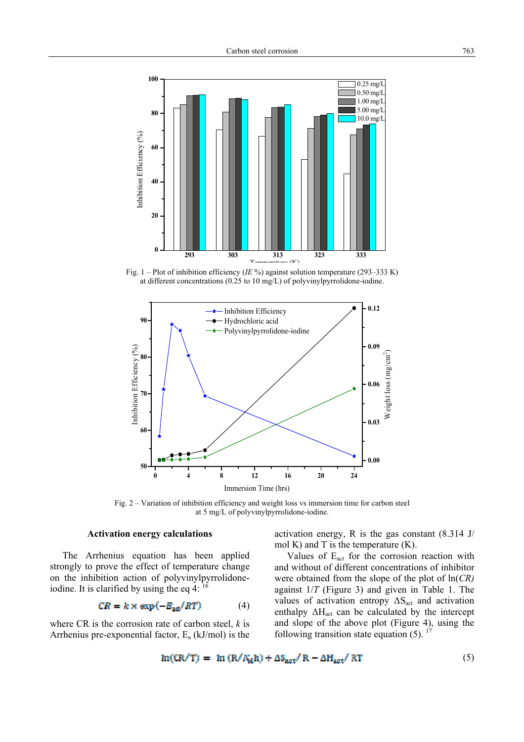

Fig. 1 – Plot of inhibition efficiency (*IE* %) against solution temperature (293–333 K) at different concentrations (0.25 to 10 mg/L) of polyvinylpyrrolidone-iodine.



Fig. 2 – Variation of inhibition efficiency and weight loss vs immersion time for carbon steel at 5 mg/L of polyvinylpyrrolidone-iodine.

## **Activation energy calculations**

 The Arrhenius equation has been applied strongly to prove the effect of temperature change on the inhibition action of polyvinylpyrrolidoneiodine. It is clarified by using the eq  $4$ :  $^{16}$ 

$$
CR = k \times \exp(-E_{\text{ad}}/RT) \tag{4}
$$

where CR is the corrosion rate of carbon steel, *k* is Arrhenius pre-exponential factor,  $E_a$  (kJ/mol) is the activation energy, R is the gas constant (8.314 J/ mol K) and T is the temperature  $(K)$ .

Values of E<sub>act</sub> for the corrosion reaction with and without of different concentrations of inhibitor were obtained from the slope of the plot of ln(*CR)* against 1/*T* (Figure 3) and given in Table 1. The values of activation entropy  $\Delta S_{\text{act}}$  and activation enthalpy  $\Delta H_{act}$  can be calculated by the intercept and slope of the above plot (Figure 4), using the following transition state equation  $(5)$ . <sup>17</sup>

$$
\ln(\text{CR/T}) = \ln(\text{R}/N_A \text{h}) + \Delta S_{\text{act}}/\text{R} - \Delta H_{\text{act}}/\text{RT}
$$
 (5)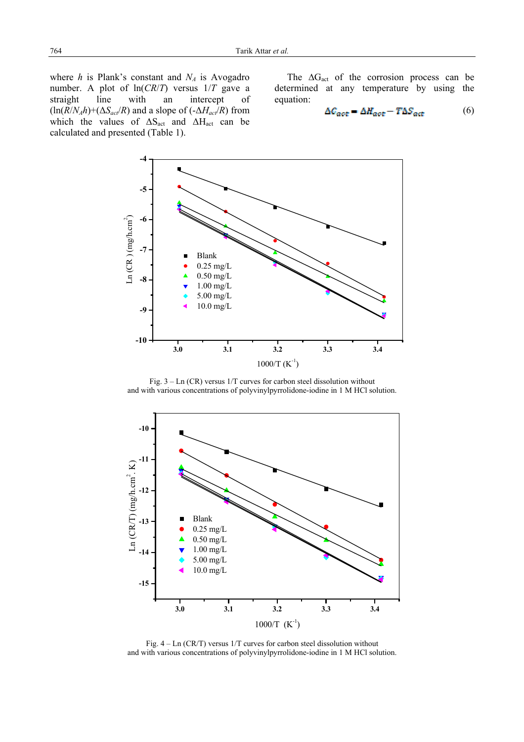where  $h$  is Plank's constant and  $N_A$  is Avogadro number. A plot of ln(*CR*/*T*) versus 1/*T* gave a straight line with an intercept of  $(\ln(R/N_A h) + (\Delta S_{act}/R)$  and a slope of  $(-\Delta H_{act}/R)$  from which the values of  $\Delta S_{\text{act}}$  and  $\Delta H_{\text{act}}$  can be calculated and presented (Table 1).

The  $\Delta G_{\text{act}}$  of the corrosion process can be determined at any temperature by using the equation:

$$
\Delta C_{act} = \Delta H_{act} - T \Delta S_{act} \tag{6}
$$



Fig. 3 – Ln (CR) versus 1/T curves for carbon steel dissolution without and with various concentrations of polyvinylpyrrolidone-iodine in 1 M HCl solution.



Fig. 4 – Ln (CR/T) versus 1/T curves for carbon steel dissolution without and with various concentrations of polyvinylpyrrolidone-iodine in 1 M HCl solution.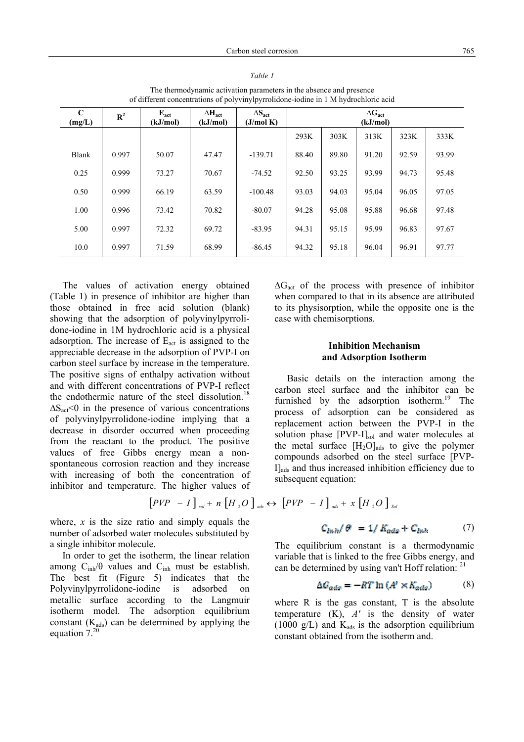| $\mathbf C$<br>(mg/L) | $\mathbb{R}^2$ | $E_{act}$<br>(kJ/mol) | $\Delta H_{\text{act}}$<br>(kJ/mol) | $\Delta S_{\text{act}}$<br>(J/mol K) | $\Delta G_{act}$<br>(kJ/mol) |       |       |       |       |
|-----------------------|----------------|-----------------------|-------------------------------------|--------------------------------------|------------------------------|-------|-------|-------|-------|
|                       |                |                       |                                     |                                      | 293K                         | 303K  | 313K  | 323K  | 333K  |
| Blank                 | 0.997          | 50.07                 | 47.47                               | $-139.71$                            | 88.40                        | 89.80 | 91.20 | 92.59 | 93.99 |
| 0.25                  | 0.999          | 73.27                 | 70.67                               | $-74.52$                             | 92.50                        | 93.25 | 93.99 | 94.73 | 95.48 |
| 0.50                  | 0.999          | 66.19                 | 63.59                               | $-100.48$                            | 93.03                        | 94.03 | 95.04 | 96.05 | 97.05 |
| 1.00                  | 0.996          | 73.42                 | 70.82                               | $-80.07$                             | 94.28                        | 95.08 | 95.88 | 96.68 | 97.48 |
| 5.00                  | 0.997          | 72.32                 | 69.72                               | $-83.95$                             | 94.31                        | 95.15 | 95.99 | 96.83 | 97.67 |
| 10.0                  | 0.997          | 71.59                 | 68.99                               | $-86.45$                             | 94.32                        | 95.18 | 96.04 | 96.91 | 97.77 |

*Table 1* The thermodynamic activation parameters in the absence and presence of different concentrations of polyvinylpyrrolidone-iodine in 1 M hydrochloric acid

The values of activation energy obtained (Table 1) in presence of inhibitor are higher than those obtained in free acid solution (blank) showing that the adsorption of polyvinylpyrrolidone-iodine in 1M hydrochloric acid is a physical adsorption. The increase of  $E_{\text{act}}$  is assigned to the appreciable decrease in the adsorption of PVP-I on carbon steel surface by increase in the temperature. The positive signs of enthalpy activation without and with different concentrations of PVP-I reflect the endothermic nature of the steel dissolution.<sup>18</sup>  $\Delta S_{\text{act}}$ <0 in the presence of various concentrations of polyvinylpyrrolidone-iodine implying that a decrease in disorder occurred when proceeding from the reactant to the product. The positive values of free Gibbs energy mean a nonspontaneous corrosion reaction and they increase with increasing of both the concentration of inhibitor and temperature. The higher values of

where, *x* is the size ratio and simply equals the number of adsorbed water molecules substituted by a single inhibitor molecule.

 In order to get the isotherm, the linear relation among  $C_{inh}/\theta$  values and  $C_{inh}$  must be establish. The best fit (Figure 5) indicates that the Polyvinylpyrrolidone-iodine is adsorbed on metallic surface according to the Langmuir isotherm model. The adsorption equilibrium constant  $(K_{ads})$  can be determined by applying the equation  $7^{20}$ 

 $\Delta G_{\text{act}}$  of the process with presence of inhibitor when compared to that in its absence are attributed to its physisorption, while the opposite one is the case with chemisorptions.

## **Inhibition Mechanism and Adsorption Isotherm**

 Basic details on the interaction among the carbon steel surface and the inhibitor can be furnished by the adsorption isotherm.<sup>19</sup> The process of adsorption can be considered as replacement action between the PVP-I in the solution phase [PVP-I]<sub>sol</sub> and water molecules at the metal surface  $[H_2O]_{ads}$  to give the polymer compounds adsorbed on the steel surface [PVP- $I<sub>ads</sub>$  and thus increased inhibition efficiency due to subsequent equation:

$$
\begin{bmatrix} PVP & -I \end{bmatrix}_{sol} + n \begin{bmatrix} H \, _2O \end{bmatrix}_{ads} \leftrightarrow \begin{bmatrix} PVP & -I \end{bmatrix}_{ads} + x \begin{bmatrix} H \, _2O \end{bmatrix}_{Sol}
$$

 $C_{lnh}/\theta = 1/K_{ads} + C_{lnh}$  (7)

The equilibrium constant is a thermodynamic variable that is linked to the free Gibbs energy, and can be determined by using van't Hoff relation: <sup>21</sup>

$$
\Delta G_{ads} = -RT \ln \left( A^t \times K_{ads} \right) \tag{8}
$$

where R is the gas constant, T is the absolute temperature (K), *A'* is the density of water (1000 g/L) and  $K_{ads}$  is the adsorption equilibrium constant obtained from the isotherm and.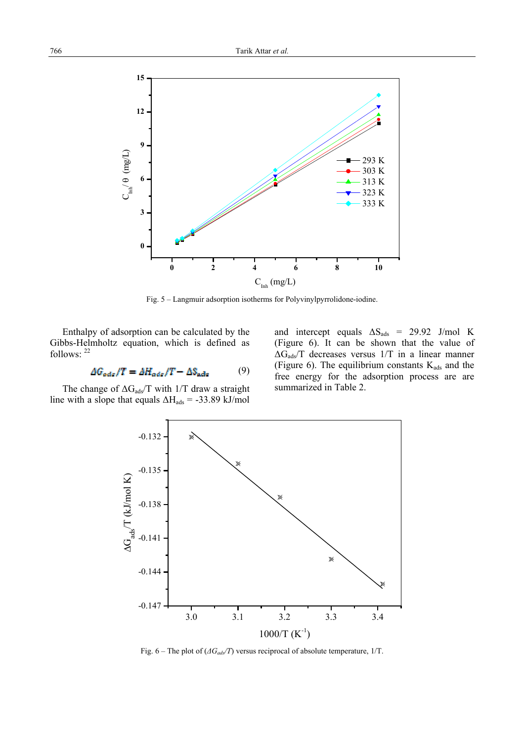

Fig. 5 – Langmuir adsorption isotherms for Polyvinylpyrrolidone-iodine.

Enthalpy of adsorption can be calculated by the Gibbs-Helmholtz equation, which is defined as follows: <sup>22</sup>

$$
\Delta G_{ads}/T = \Delta H_{ads}/T - \Delta S_{ads} \tag{9}
$$

The change of  $\Delta G_{ads}$ T with 1/T draw a straight line with a slope that equals  $\Delta H_{ads} = -33.89$  kJ/mol and intercept equals  $\Delta S_{ads}$  = 29.92 J/mol K (Figure 6). It can be shown that the value of  $\Delta G_{ads}$ T decreases versus 1/T in a linear manner (Figure 6). The equilibrium constants  $K_{ads}$  and the free energy for the adsorption process are are summarized in Table 2.



Fig. 6 – The plot of ( $\Delta G_{ads}/T$ ) versus reciprocal of absolute temperature, 1/T.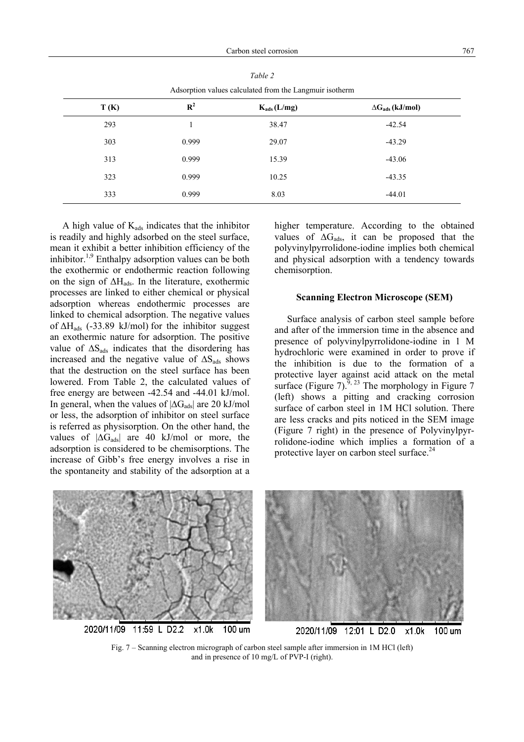| <i>r</i> assorption values calculated from the Ealignum isotherm |                |                  |                           |  |  |  |  |
|------------------------------------------------------------------|----------------|------------------|---------------------------|--|--|--|--|
| T(K)                                                             | $\mathbb{R}^2$ | $K_{ads}$ (L/mg) | $\Delta G_{ads}$ (kJ/mol) |  |  |  |  |
| 293                                                              |                | 38.47            | $-42.54$                  |  |  |  |  |
| 303                                                              | 0.999          | 29.07            | $-43.29$                  |  |  |  |  |
| 313                                                              | 0.999          | 15.39            | $-43.06$                  |  |  |  |  |
| 323                                                              | 0.999          | 10.25            | $-43.35$                  |  |  |  |  |
| 333                                                              | 0.999          | 8.03             | $-44.01$                  |  |  |  |  |

*Table 2* Adsorption values calculated from the Langmuir isotherm

A high value of  $K_{ads}$  indicates that the inhibitor is readily and highly adsorbed on the steel surface, mean it exhibit a better inhibition efficiency of the inhibitor.<sup>1,9</sup> Enthalpy adsorption values can be both the exothermic or endothermic reaction following on the sign of  $\Delta H_{ads}$ . In the literature, exothermic processes are linked to either chemical or physical adsorption whereas endothermic processes are linked to chemical adsorption. The negative values of  $\Delta H_{ads}$  (-33.89 kJ/mol) for the inhibitor suggest an exothermic nature for adsorption. The positive value of  $\Delta S_{ads}$  indicates that the disordering has increased and the negative value of  $\Delta S$ <sub>ads</sub> shows that the destruction on the steel surface has been lowered. From Table 2, the calculated values of free energy are between -42.54 and -44.01 kJ/mol. In general, when the values of  $|\Delta G_{ads}|$  are 20 kJ/mol or less, the adsorption of inhibitor on steel surface is referred as physisorption. On the other hand, the values of  $|\Delta G_{ads}|$  are 40 kJ/mol or more, the adsorption is considered to be chemisorptions. The increase of Gibb's free energy involves a rise in the spontaneity and stability of the adsorption at a higher temperature. According to the obtained values of  $\Delta G_{ads}$ , it can be proposed that the polyvinylpyrrolidone-iodine implies both chemical and physical adsorption with a tendency towards chemisorption.

#### **Scanning Electron Microscope (SEM)**

 Surface analysis of carbon steel sample before and after of the immersion time in the absence and presence of polyvinylpyrrolidone-iodine in 1 M hydrochloric were examined in order to prove if the inhibition is due to the formation of a protective layer against acid attack on the metal surface (Figure 7).<sup>9, 23</sup> The morphology in Figure 7 (left) shows a pitting and cracking corrosion surface of carbon steel in 1M HCl solution. There are less cracks and pits noticed in the SEM image (Figure 7 right) in the presence of Polyvinylpyrrolidone-iodine which implies a formation of a protective layer on carbon steel surface.<sup>24</sup>



Fig. 7 – Scanning electron micrograph of carbon steel sample after immersion in 1M HCl (left) and in presence of 10 mg/L of PVP-I (right).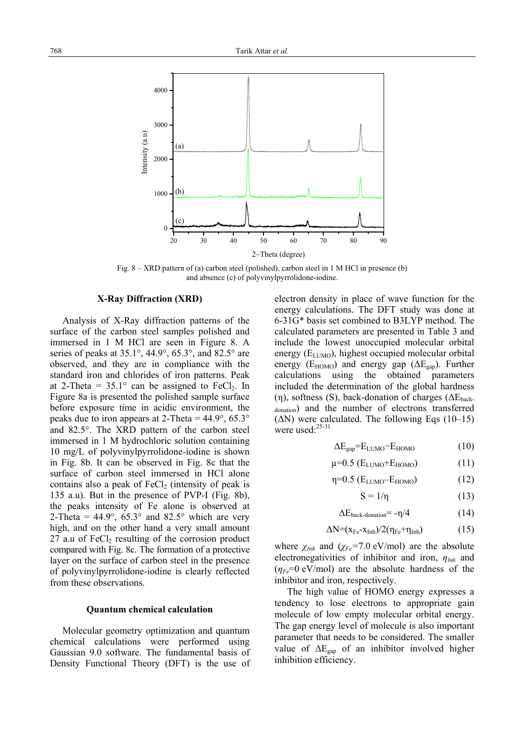

Fig. 8 – XRD pattern of (a) carbon steel (polished), carbon steel in 1 M HCl in presence (b) and absence (c) of polyvinylpyrrolidone-iodine.

### **X-Ray Diffraction (XRD)**

 Analysis of X-Ray diffraction patterns of the surface of the carbon steel samples polished and immersed in 1 M HCl are seen in Figure 8. A series of peaks at  $35.1^\circ$ ,  $44.9^\circ$ ,  $65.3^\circ$ , and  $82.5^\circ$  are observed, and they are in compliance with the standard iron and chlorides of iron patterns. Peak at 2-Theta =  $35.1^{\circ}$  can be assigned to FeCl<sub>2</sub>. In Figure 8a is presented the polished sample surface before exposure time in acidic environment, the peaks due to iron appears at 2-Theta =  $44.9^{\circ}$ ,  $65.3^{\circ}$ and 82.5°. The XRD pattern of the carbon steel immersed in 1 M hydrochloric solution containing 10 mg/L of polyvinylpyrrolidone-iodine is shown in Fig. 8b. It can be observed in Fig. 8c that the surface of carbon steel immersed in HCl alone contains also a peak of  $FeCl<sub>2</sub>$  (intensity of peak is 135 a.u). But in the presence of PVP-I (Fig. 8b), the peaks intensity of Fe alone is observed at 2-Theta =  $44.9^{\circ}$ ,  $65.3^{\circ}$  and  $82.5^{\circ}$  which are very high, and on the other hand a very small amount  $27$  a.u of FeCl<sub>2</sub> resulting of the corrosion product compared with Fig. 8c. The formation of a protective layer on the surface of carbon steel in the presence of polyvinylpyrrolidone-iodine is clearly reflected from these observations.

#### **Quantum chemical calculation**

 Molecular geometry optimization and quantum chemical calculations were performed using Gaussian 9.0 software. The fundamental basis of Density Functional Theory (DFT) is the use of electron density in place of wave function for the energy calculations. The DFT study was done at 6-31G\* basis set combined to B3LYP method. The calculated parameters are presented in Table 3 and include the lowest unoccupied molecular orbital energy  $(E_{LUMO})$ , highest occupied molecular orbital energy ( $E_{HOMO}$ ) and energy gap ( $\Delta E_{gan}$ ). Further calculations using the obtained parameters included the determination of the global hardness (η), softness (S), back-donation of charges ( $\Delta E_{\text{back}}$ donation) and the number of electrons transferred  $(\Delta N)$  were calculated. The following Eqs (10–15) were used: $25-31$ 

$$
\Delta E_{\text{gap}} = E_{\text{LUMO}} - E_{\text{HOMO}} \tag{10}
$$

$$
\mu=0.5\ (E_{\text{LUMO}}+E_{\text{HOMO}})\tag{11}
$$

$$
\eta=0.5\ (E_{LUMO}-E_{HOMO})\tag{12}
$$

$$
S = 1/\eta \tag{13}
$$

$$
\Delta E_{back-domain} = -\eta/4 \tag{14}
$$

$$
\Delta N = (x_{Fe} - x_{Inh})/2(\eta_{Fe} + \eta_{Inh})
$$
 (15)

where *χInh* and (*χFe=*7.0 eV/mol) are the absolute electronegativities of inhibitor and iron, *ηInh* and  $(\eta_{Fe}=0 \text{ eV/mol})$  are the absolute hardness of the inhibitor and iron, respectively.

 The high value of HOMO energy expresses a tendency to lose electrons to appropriate gain molecule of low empty molecular orbital energy. The gap energy level of molecule is also important parameter that needs to be considered. The smaller value of  $\Delta E_{\text{gap}}$  of an inhibitor involved higher inhibition efficiency.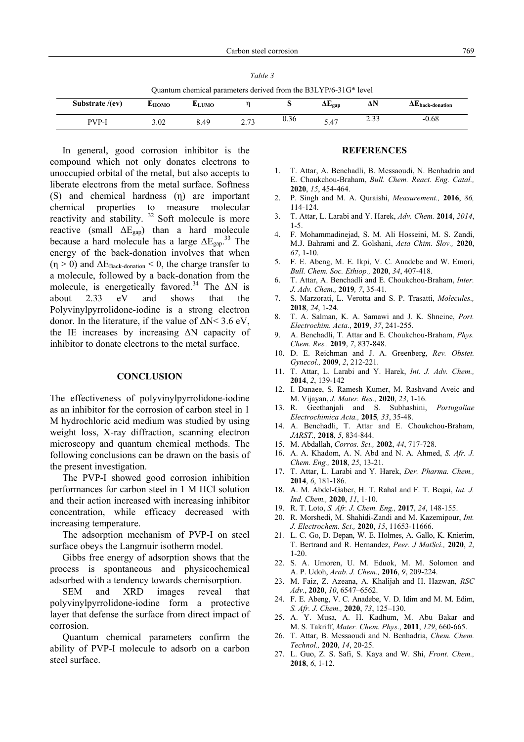| Table 3                                                         |
|-----------------------------------------------------------------|
| Quantum chemical parameters derived from the B3LYP/6-31G* level |

| Substrate /(ev)  | <b>L</b> HOMO | LUMO               |                                | ົ    | ıт.<br>$\Delta E_{\text{gap}}$  | a NJ<br>Δľ    | $\Delta E$ back-donation |
|------------------|---------------|--------------------|--------------------------------|------|---------------------------------|---------------|--------------------------|
| PVP <sub>-</sub> | 3.02          | $\Delta$ C<br>◡. ╷ | $\sim$ $\sim$<br>ر ب<br>$\sim$ | 0.36 | $\overline{a}$<br>$5.4^{\circ}$ | າາາ<br>ں رہے۔ | -0.08                    |

In general, good corrosion inhibitor is the compound which not only donates electrons to unoccupied orbital of the metal, but also accepts to liberate electrons from the metal surface. Softness (S) and chemical hardness (η) are important chemical properties to measure molecular reactivity and stability.<sup>32</sup> Soft molecule is more reactive (small ΔEgap) than a hard molecule because a hard molecule has a large  $\Delta E_{\text{gap}}^{33}$  The energy of the back-donation involves that when  $(\eta > 0)$  and  $\Delta E_{\text{Back-domain}} < 0$ , the charge transfer to a molecule, followed by a back-donation from the molecule, is energetically favored.<sup>34</sup> The  $\Delta N$  is about 2.33 eV and shows that the Polyvinylpyrrolidone-iodine is a strong electron donor. In the literature, if the value of  $\Delta N < 3.6$  eV, the IE increases by increasing ΔN capacity of inhibitor to donate electrons to the metal surface.

#### **CONCLUSION**

The effectiveness of polyvinylpyrrolidone-iodine as an inhibitor for the corrosion of carbon steel in 1 M hydrochloric acid medium was studied by using weight loss, X-ray diffraction, scanning electron microscopy and quantum chemical methods. The following conclusions can be drawn on the basis of the present investigation.

 The PVP-I showed good corrosion inhibition performances for carbon steel in 1 M HCl solution and their action increased with increasing inhibitor concentration, while efficacy decreased with increasing temperature.

 The adsorption mechanism of PVP-I on steel surface obeys the Langmuir isotherm model.

 Gibbs free energy of adsorption shows that the process is spontaneous and physicochemical adsorbed with a tendency towards chemisorption.

 SEM and XRD images reveal that polyvinylpyrrolidone-iodine form a protective layer that defense the surface from direct impact of corrosion.

 Quantum chemical parameters confirm the ability of PVP-I molecule to adsorb on a carbon steel surface.

#### **REFERENCES**

- 1. T. Attar, A. Benchadli, B. Messaoudi, N. Benhadria and E. Choukchou-Braham, *Bull. Chem. React. Eng. Catal.,* **2020**, *15*, 454-464.
- 2. P. Singh and M. A. Quraishi, *Measurement.,* **2016**, *86,* 114-124.
- 3. T. Attar, L. Larabi and Y. Harek, *Adv. Chem.* **2014**, *2014*, 1-5.
- 4. F. Mohammadinejad, S. M. Ali Hosseini, M. S. Zandi, M.J. Bahrami and Z. Golshani, *Acta Chim. Slov.,* **2020**, *67*, 1-10.
- 5. F. E. Abeng, M. E. Ikpi, V. C. Anadebe and W. Emori, *Bull. Chem. Soc. Ethiop.,* **2020**, *34*, 407-418.
- 6. T. Attar, A. Benchadli and E. Choukchou-Braham, *Inter. J. Adv. Chem.,* **2019***, 7*, 35-41.
- 7. S. Marzorati, L. Verotta and S. P. Trasatti, *Molecules.,* **2018**, *24*, 1-24.
- 8. T. A. Salman, K. A. Samawi and J. K. Shneine, *Port. Electrochim. Acta*., **2019**, *37*, 241-255.
- 9. A. Benchadli, T. Attar and E. Choukchou-Braham, *Phys. Chem. Res.,* **2019**, *7*, 837-848.
- 10. D. E. Reichman and J. A. Greenberg, *Rev. Obstet. Gynecol.,* **2009**, *2*, 212-221.
- 11. T. Attar, L. Larabi and Y. Harek, *Int. J. Adv. Chem.,* **2014**, *2*, 139-142
- 12. I. Danaee, S. Ramesh Kumer, M. Rashvand Aveic and M. Vijayan, *J. Mater. Res.,* **2020**, *23*, 1-16.
- 13. R. Geethanjali and S. Subhashini, *Portugaliae Electrochimica Acta.,* **2015***, 33*, 35-48.
- 14. A. Benchadli, T. Attar and E. Choukchou-Braham, *JARST.,* **2018**, *5*, 834-844.
- 15. M. Abdallah, *Corros. Sci.,* **2002**, *44*, 717-728.
- 16. A. A. Khadom, A. N. Abd and N. A. Ahmed, *S. Afr. J. Chem. Eng.,* **2018**, *25*, 13-21.
- 17. T. Attar, L. Larabi and Y. Harek, *Der. Pharma. Chem.,* **2014**, *6*, 181-186.
- 18. A. M. Abdel-Gaber, H. T. Rahal and F. T. Beqai, *Int. J. Ind. Chem.,* **2020**, *11*, 1-10.
- 19. R. T. Loto, *S. Afr. J. Chem. Eng.,* **2017**, *24*, 148-155.
- 20. R. Morshedi, M. Shahidi-Zandi and M. Kazemipour, *Int. J. Electrochem. Sci.,* **2020**, *15*, 11653-11666.
- 21. L. C. Go, D. Depan, W. E. Holmes, A. Gallo, K. Knierim, T. Bertrand and R. Hernandez, *Peer. J MatSci.,* **2020**, *2*, 1-20.
- 22. S. A. Umoren, U. M. Eduok, M. M. Solomon and A. P. Udoh, *Arab. J. Chem.,* **2016**, *9*, 209-224.
- 23. M. Faiz, Z. Azeana, A. Khalijah and H. Hazwan, *RSC Adv.*, **2020**, *10*, 6547–6562.
- 24. F. E. Abeng, V. C. Anadebe, V. D. Idim and M. M. Edim, *S. Afr. J. Chem.,* **2020**, *73*, 125–130.
- 25. A. Y. Musa, A. H. Kadhum, M. Abu Bakar and M. S. Takriff, *Mater. Chem. Phys*., **2011**, *129*, 660-665.
- 26. T. Attar, B. Messaoudi and N. Benhadria, *Chem. Chem. Technol.,* **2020**, *14*, 20-25.
- 27. L. Guo, Z. S. Safi, S. Kaya and W. Shi, *Front. Chem.,* **2018**, *6*, 1-12.